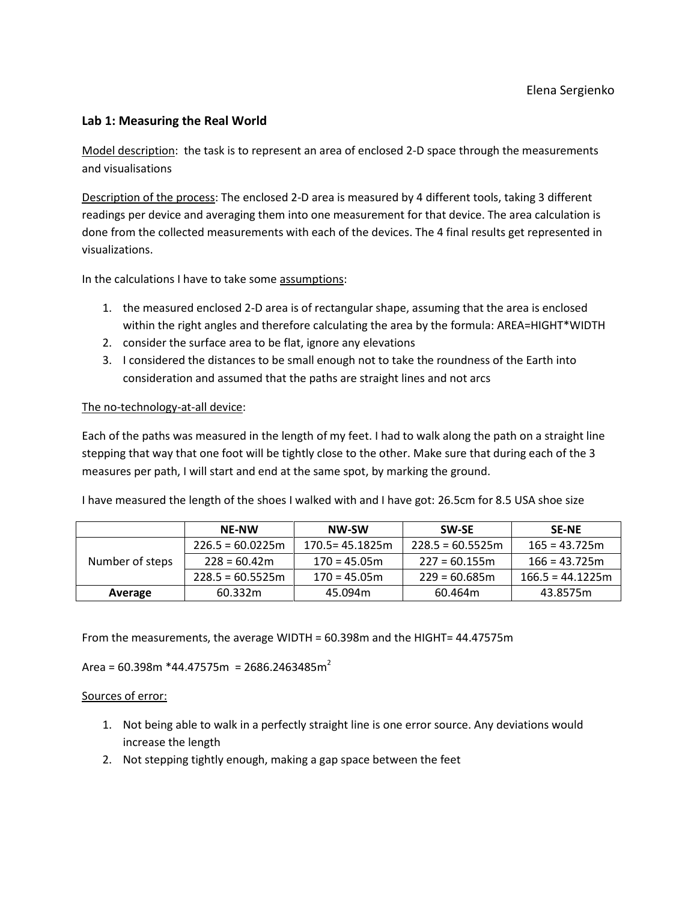## **Lab 1: Measuring the Real World**

Model description: the task is to represent an area of enclosed 2-D space through the measurements and visualisations

Description of the process: The enclosed 2-D area is measured by 4 different tools, taking 3 different readings per device and averaging them into one measurement for that device. The area calculation is done from the collected measurements with each of the devices. The 4 final results get represented in visualizations.

In the calculations I have to take some assumptions:

- 1. the measured enclosed 2-D area is of rectangular shape, assuming that the area is enclosed within the right angles and therefore calculating the area by the formula: AREA=HIGHT\*WIDTH
- 2. consider the surface area to be flat, ignore any elevations
- 3. I considered the distances to be small enough not to take the roundness of the Earth into consideration and assumed that the paths are straight lines and not arcs

### The no-technology-at-all device:

Each of the paths was measured in the length of my feet. I had to walk along the path on a straight line stepping that way that one foot will be tightly close to the other. Make sure that during each of the 3 measures per path, I will start and end at the same spot, by marking the ground.

I have measured the length of the shoes I walked with and I have got: 26.5cm for 8.5 USA shoe size

|                 | <b>NE-NW</b>       | NW-SW              | <b>SW-SE</b>       | <b>SE-NE</b>       |  |
|-----------------|--------------------|--------------------|--------------------|--------------------|--|
| Number of steps | $226.5 = 60.0225m$ | $170.5 = 45.1825m$ | $228.5 = 60.5525m$ | $165 = 43.725m$    |  |
|                 | $228 = 60.42m$     | $170 = 45.05m$     | $227 = 60.155$ m   | $166 = 43.725m$    |  |
|                 | $228.5 = 60.5525m$ | $170 = 45.05m$     | $229 = 60.685m$    | $166.5 = 44.1225m$ |  |
| Average         | 60.332m            | 45.094m            | 60.464m            | 43.8575m           |  |

From the measurements, the average WIDTH = 60.398m and the HIGHT= 44.47575m

Area = 60.398m \*44.47575m = 2686.2463485m $^2$ 

#### Sources of error:

- 1. Not being able to walk in a perfectly straight line is one error source. Any deviations would increase the length
- 2. Not stepping tightly enough, making a gap space between the feet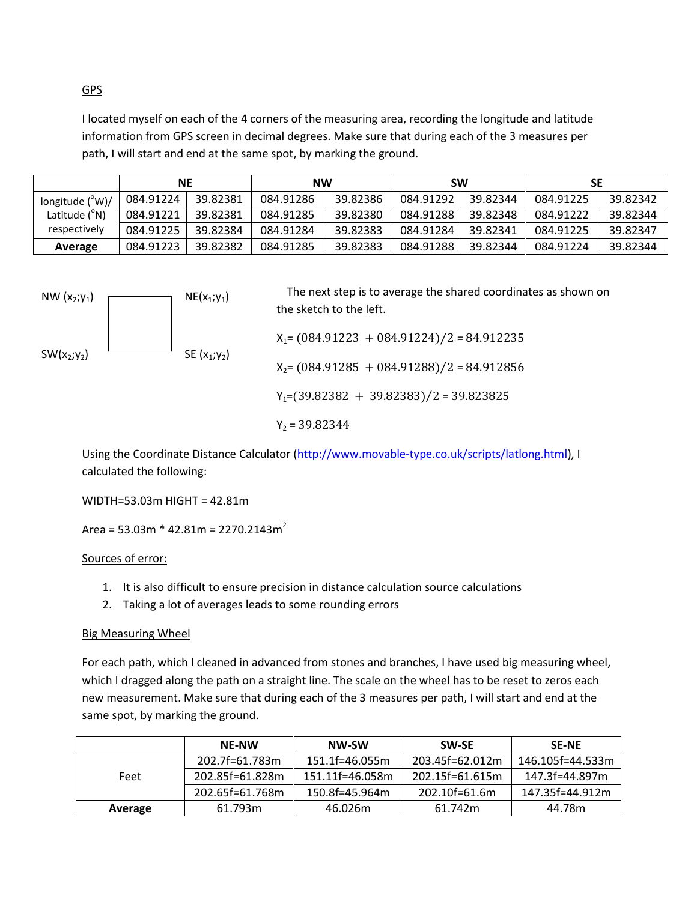GPS

I located myself on each of the 4 corners of the measuring area, recording the longitude and latitude information from GPS screen in decimal degrees. Make sure that during each of the 3 measures per path, I will start and end at the same spot, by marking the ground.

|                          | <b>NE</b> |          | <b>NW</b> |          | <b>SW</b> |          | SЕ        |          |
|--------------------------|-----------|----------|-----------|----------|-----------|----------|-----------|----------|
| longitude $(^{\circ}W)/$ | 084.91224 | 39.82381 | 084.91286 | 39.82386 | 084.91292 | 39.82344 | 084.91225 | 39.82342 |
| Latitude $(^{\circ}N)$   | 084.91221 | 39.82381 | 084.91285 | 39.82380 | 084.91288 | 39.82348 | 084.91222 | 39.82344 |
| respectively             | 084.91225 | 39.82384 | 084.91284 | 39.82383 | 084.91284 | 39.82341 | 084.91225 | 39.82347 |
| Average                  | 084.91223 | 39.82382 | 084.91285 | 39.82383 | 084.91288 | 39.82344 | 084.91224 | 39.82344 |



 $Y_2 = 39.82344$ 

Using the Coordinate Distance Calculator [\(http://www.movable-type.co.uk/scripts/latlong.html\)](http://www.movable-type.co.uk/scripts/latlong.html), I calculated the following:

WIDTH=53.03m HIGHT = 42.81m

Area = 53.03m \* 42.81m = 2270.2143m<sup>2</sup>

Sources of error:

- 1. It is also difficult to ensure precision in distance calculation source calculations
- 2. Taking a lot of averages leads to some rounding errors

# Big Measuring Wheel

For each path, which I cleaned in advanced from stones and branches, I have used big measuring wheel, which I dragged along the path on a straight line. The scale on the wheel has to be reset to zeros each new measurement. Make sure that during each of the 3 measures per path, I will start and end at the same spot, by marking the ground.

|         | <b>NE-NW</b>    | NW-SW               | <b>SW-SE</b>      | <b>SE-NE</b>     |
|---------|-----------------|---------------------|-------------------|------------------|
|         | 202.7f=61.783m  | 151.1f=46.055m      | $203.45f=62.012m$ | 146.105f=44.533m |
| Feet    | 202.85f=61.828m | $151.11f = 46.058m$ | $202.15f=61.615m$ | 147.3f=44.897m   |
|         | 202.65f=61.768m | 150.8f=45.964m      | 202.10f=61.6m     | 147.35f=44.912m  |
| Average | 61.793m         | 46.026m             | 61.742m           | 44.78m           |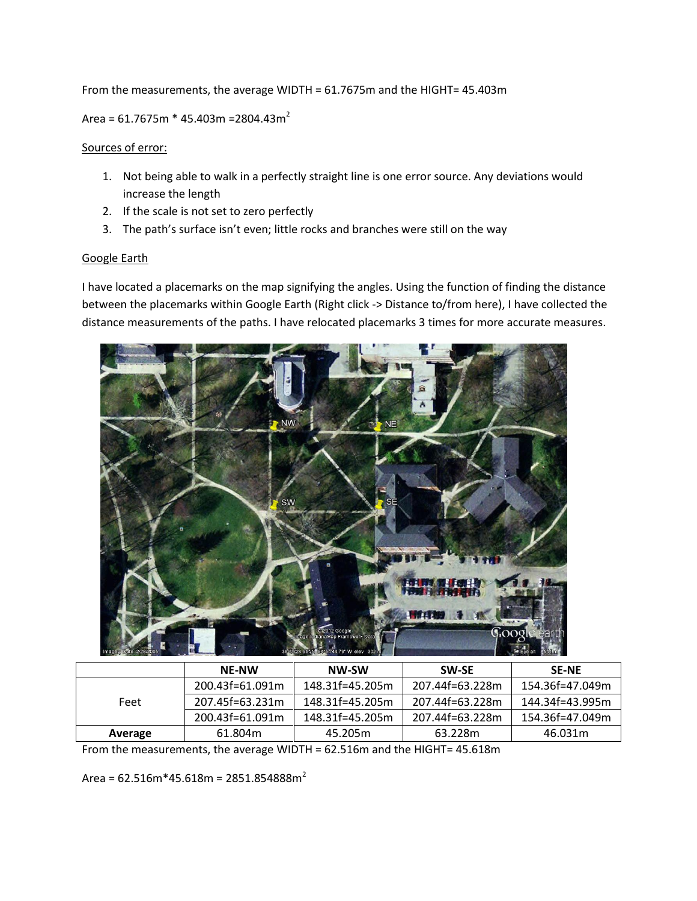From the measurements, the average WIDTH = 61.7675m and the HIGHT= 45.403m

Area =  $61.7675m * 45.403m = 2804.43m<sup>2</sup>$ 

#### Sources of error:

- 1. Not being able to walk in a perfectly straight line is one error source. Any deviations would increase the length
- 2. If the scale is not set to zero perfectly
- 3. The path's surface isn't even; little rocks and branches were still on the way

### Google Earth

I have located a placemarks on the map signifying the angles. Using the function of finding the distance between the placemarks within Google Earth (Right click -> Distance to/from here), I have collected the distance measurements of the paths. I have relocated placemarks 3 times for more accurate measures.



|         | <b>NE-NW</b>    | NW-SW           | <b>SW-SE</b>    | <b>SE-NE</b>    |
|---------|-----------------|-----------------|-----------------|-----------------|
|         | 200.43f=61.091m | 148.31f=45.205m | 207.44f=63.228m | 154.36f=47.049m |
| Feet    | 207.45f=63.231m | 148.31f=45.205m | 207.44f=63.228m | 144.34f=43.995m |
|         | 200.43f=61.091m | 148.31f=45.205m | 207.44f=63.228m | 154.36f=47.049m |
| Average | 61.804m         | 45.205m         | 63.228m         | 46.031m         |

From the measurements, the average WIDTH = 62.516m and the HIGHT= 45.618m

Area =  $62.516m*45.618m = 2851.854888m<sup>2</sup>$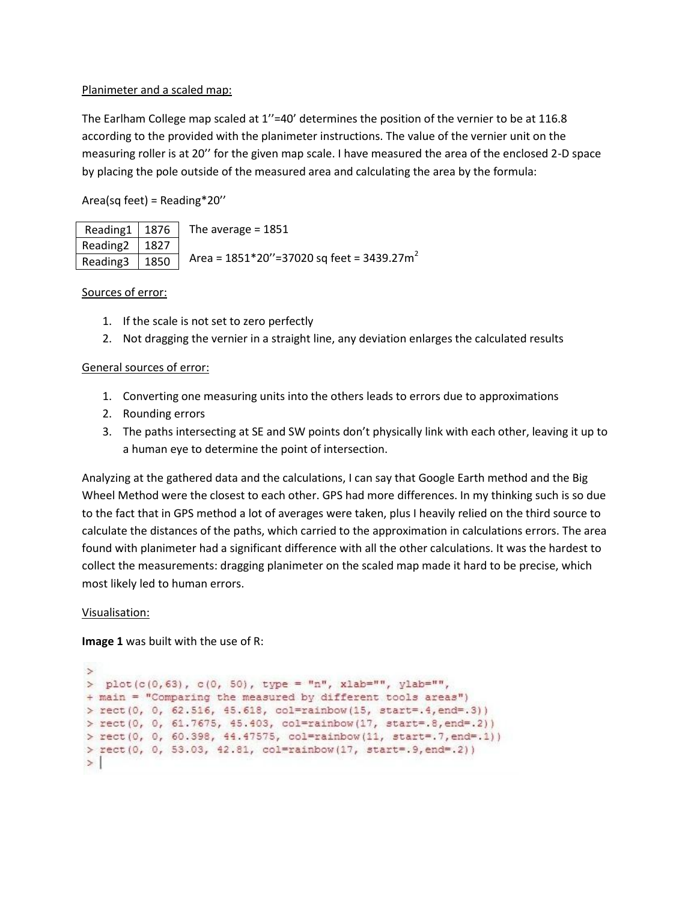### Planimeter and a scaled map:

The Earlham College map scaled at 1"=40' determines the position of the vernier to be at 116.8 according to the provided with the planimeter instructions. The value of the vernier unit on the measuring roller is at 20'' for the given map scale. I have measured the area of the enclosed 2-D space by placing the pole outside of the measured area and calculating the area by the formula:

Area(sq feet) = Reading\*20''

|                  | Reading $1 \mid 1876 \mid$ The average = 1851                                                     |
|------------------|---------------------------------------------------------------------------------------------------|
| Reading 2   1827 |                                                                                                   |
|                  | Reading3 $\left  \frac{1850}{1850} \right $ Area = 1851*20"=37020 sq feet = 3439.27m <sup>2</sup> |

### Sources of error:

- 1. If the scale is not set to zero perfectly
- 2. Not dragging the vernier in a straight line, any deviation enlarges the calculated results

### General sources of error:

- 1. Converting one measuring units into the others leads to errors due to approximations
- 2. Rounding errors
- 3. The paths intersecting at SE and SW points don't physically link with each other, leaving it up to a human eye to determine the point of intersection.

Analyzing at the gathered data and the calculations, I can say that Google Earth method and the Big Wheel Method were the closest to each other. GPS had more differences. In my thinking such is so due to the fact that in GPS method a lot of averages were taken, plus I heavily relied on the third source to calculate the distances of the paths, which carried to the approximation in calculations errors. The area found with planimeter had a significant difference with all the other calculations. It was the hardest to collect the measurements: dragging planimeter on the scaled map made it hard to be precise, which most likely led to human errors.

### Visualisation:

**Image 1** was built with the use of R:

```
\rightarrow> plot(c(0,63), c(0, 50), type = "n", xlab="", ylab="",
+ main = "Comparing the measured by different tools areas")
> rect(0, 0, 62.516, 45.618, col=rainbow(15, start=.4,end=.3))
> rect(0, 0, 61.7675, 45.403, col=rainbow(17, start=.8,end=.2))
> rect(0, 0, 60.398, 44.47575, col=rainbow(11, start=.7, end=.1))
> rect(0, 0, 53.03, 42.81, col=rainbow(17, start=.9,end=.2))
>|
```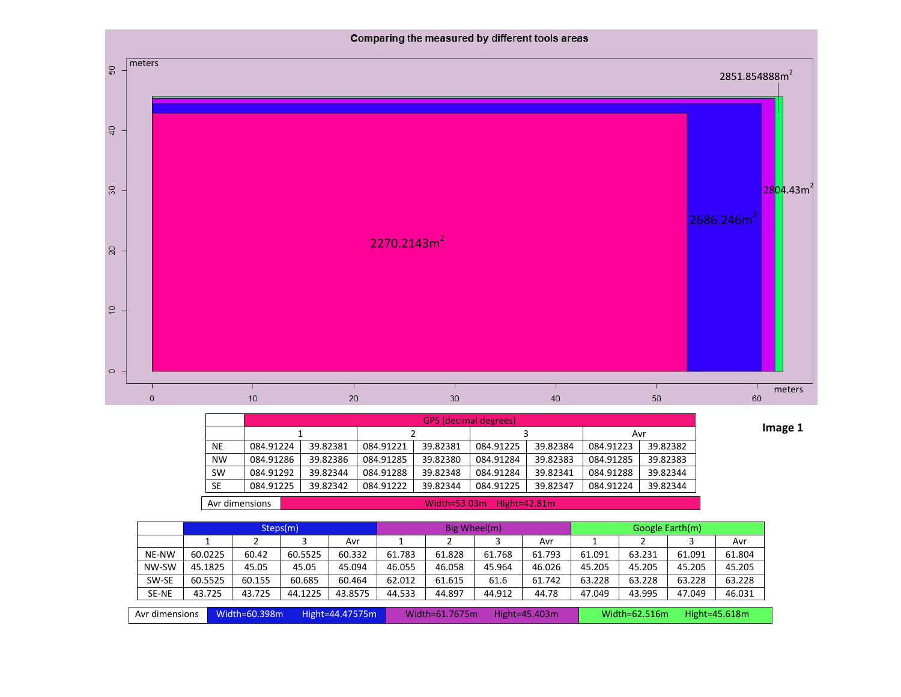

|           | <b>GPS</b> (decimal degrees) |          |           |          |           |          |           |          |  |  |
|-----------|------------------------------|----------|-----------|----------|-----------|----------|-----------|----------|--|--|
|           |                              |          |           |          |           |          | Avr       |          |  |  |
| <b>NE</b> | 084.91224                    | 39.82381 | 084.91221 | 39.82381 | 084.91225 | 39.82384 | 084.91223 | 39.82382 |  |  |
| <b>NW</b> | 084.91286                    | 39.82386 | 084.91285 | 39.82380 | 084.91284 | 39.82383 | 084.91285 | 39.82383 |  |  |
| <b>SW</b> | 084.91292                    | 39.82344 | 084.91288 | 39.82348 | 084.91284 | 39.82341 | 084.91288 | 39.82344 |  |  |
| <b>SE</b> | 084.91225                    | 39.82342 | 084.91222 | 39.82344 | 084.91225 | 39.82347 | 084.91224 | 39.82344 |  |  |
|           |                              |          |           |          |           |          |           |          |  |  |

**Image 1**

Avr dimensions Width=53.03m Hight=42.81m

|                |                                  | Steps(m) |         |         | Big Wheel(m)                       |        |        |                                | Google Earth(m) |        |        |        |
|----------------|----------------------------------|----------|---------|---------|------------------------------------|--------|--------|--------------------------------|-----------------|--------|--------|--------|
|                |                                  |          |         | Avr     |                                    |        |        | Avr                            |                 |        |        | Avr    |
| NE-NW          | 60.0225                          | 60.42    | 60.5525 | 60.332  | 61.783                             | 61.828 | 61.768 | 61.793                         | 61.091          | 63.231 | 61.091 | 61.804 |
| NW-SW          | 45.1825                          | 45.05    | 45.05   | 45.094  | 46.055                             | 46.058 | 45.964 | 46.026                         | 45.205          | 45.205 | 45.205 | 45.205 |
| SW-SE          | 60.5525                          | 60.155   | 60.685  | 60.464  | 62.012                             | 61.615 | 61.6   | 61.742                         | 63.228          | 63.228 | 63.228 | 63.228 |
| <b>SE-NE</b>   | 43.725                           | 43.725   | 44.1225 | 43.8575 | 44.533                             | 44.897 | 44.912 | 44.78                          | 47.049          | 43.995 | 47.049 | 46.031 |
|                |                                  |          |         |         |                                    |        |        |                                |                 |        |        |        |
| Avr dimensions | Width=60.398m<br>Hight=44.47575m |          |         |         | Width=61.7675m<br>Hight= $45.403m$ |        |        | Width=62.516m<br>Hight=45.618m |                 |        |        |        |